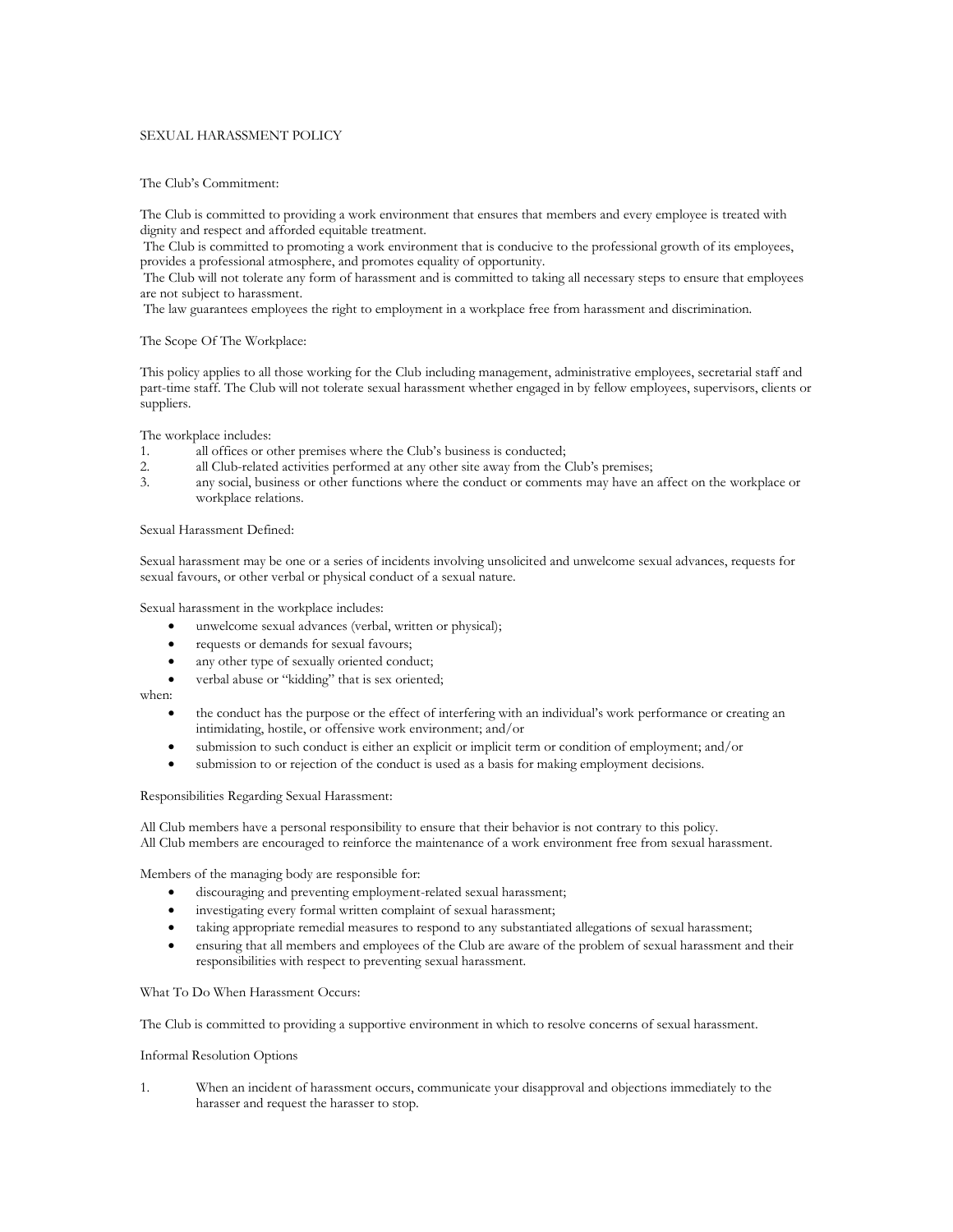## SEXUAL HARASSMENT POLICY

#### The Club's Commitment:

The Club is committed to providing a work environment that ensures that members and every employee is treated with dignity and respect and afforded equitable treatment.

The Club is committed to promoting a work environment that is conducive to the professional growth of its employees, provides a professional atmosphere, and promotes equality of opportunity.

The Club will not tolerate any form of harassment and is committed to taking all necessary steps to ensure that employees are not subject to harassment.

The law guarantees employees the right to employment in a workplace free from harassment and discrimination.

# The Scope Of The Workplace:

This policy applies to all those working for the Club including management, administrative employees, secretarial staff and part-time staff. The Club will not tolerate sexual harassment whether engaged in by fellow employees, supervisors, clients or suppliers.

The workplace includes:

- 1. all offices or other premises where the Club's business is conducted;
- 2. all Club-related activities performed at any other site away from the Club's premises;
- 3. any social, business or other functions where the conduct or comments may have an affect on the workplace or workplace relations.

### Sexual Harassment Defined:

Sexual harassment may be one or a series of incidents involving unsolicited and unwelcome sexual advances, requests for sexual favours, or other verbal or physical conduct of a sexual nature.

Sexual harassment in the workplace includes:

- unwelcome sexual advances (verbal, written or physical);
- requests or demands for sexual favours;
- any other type of sexually oriented conduct;
- verbal abuse or "kidding" that is sex oriented;

when:

- the conduct has the purpose or the effect of interfering with an individual's work performance or creating an intimidating, hostile, or offensive work environment; and/or
- submission to such conduct is either an explicit or implicit term or condition of employment; and/or
- submission to or rejection of the conduct is used as a basis for making employment decisions.

### Responsibilities Regarding Sexual Harassment:

All Club members have a personal responsibility to ensure that their behavior is not contrary to this policy. All Club members are encouraged to reinforce the maintenance of a work environment free from sexual harassment.

Members of the managing body are responsible for:

- discouraging and preventing employment-related sexual harassment;
- investigating every formal written complaint of sexual harassment;
- taking appropriate remedial measures to respond to any substantiated allegations of sexual harassment;
- ensuring that all members and employees of the Club are aware of the problem of sexual harassment and their responsibilities with respect to preventing sexual harassment.

#### What To Do When Harassment Occurs:

The Club is committed to providing a supportive environment in which to resolve concerns of sexual harassment.

#### Informal Resolution Options

1. When an incident of harassment occurs, communicate your disapproval and objections immediately to the harasser and request the harasser to stop.